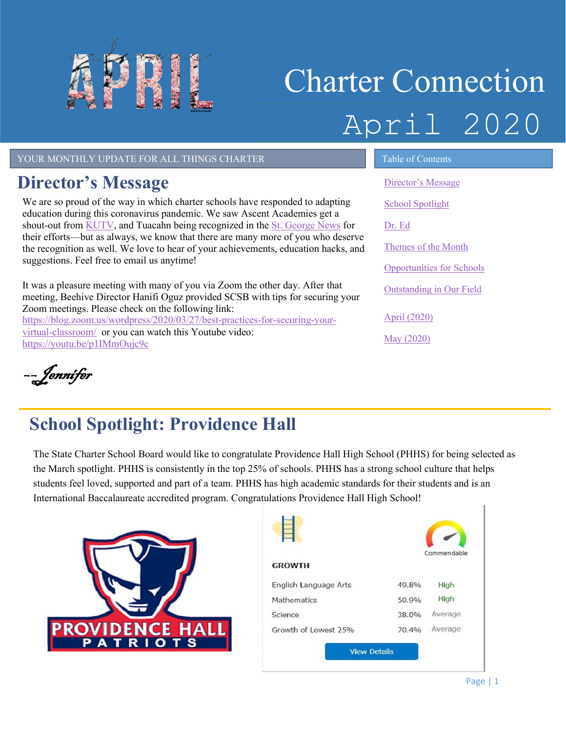

# Charter Connection April 2020

YOUR MONTHLY UPDATE FOR ALL THINGS CHARTER TABLE OF Contents

## <span id="page-0-0"></span>**Director's Message**

We are so proud of the way in which charter schools have responded to adapting education during this coronavirus pandemic. We saw Ascent Academies get a shout-out from [KUTV,](https://kutv.com/news/local/balancing-working-from-home-with-home-schooling?fbclid=IwAR3_oDaxT95XANxXZJpjjC1oXMUp_Ax3ELdltERQv0S1E8eVDcXPG9fNcQ0) and Tuacahn being recognized in the [St. George News](https://www.stgeorgeutah.com/news/archive/2020/03/29/asd-were-writing-the-book-as-were-living-it-from-elementary-to-university-educators-pivot-in-unique-situation/#.XoPFv4hKhPY) for their efforts––but as always, we know that there are many more of you who deserve the recognition as well. We love to hear of your achievements, education hacks, and suggestions. Feel free to email us anytime!

It was a pleasure meeting with many of you via Zoom the other day. After that meeting, Beehive Director Hanifi Oguz provided SCSB with tips for securing your Zoom meetings. Please check on the following link: [https://blog.zoom.us/wordpress/2020/03/27/best-practices-for-securing-your](https://blog.zoom.us/wordpress/2020/03/27/best-practices-for-securing-your-virtual-classroom/)[virtual-classroom/](https://blog.zoom.us/wordpress/2020/03/27/best-practices-for-securing-your-virtual-classroom/) or you can watch this Youtube video: <https://youtu.be/p1IMmOujc9c>

[Director's Message](#page-0-0) [School Spotlight](#page-0-1)

[Dr. Ed](#page-1-0)

Themes of the Month

[Opportunities for Schools](#page-2-0) 

[Outstanding in Our Field](#page-2-1)

April [\(2020\)](#page-3-0)

May [\(2020\)](#page-3-1)

––Jennifer

# <span id="page-0-1"></span>**School Spotlight: Providence Hall**

The State Charter School Board would like to congratulate Providence Hall High School (PHHS) for being selected as the March spotlight. PHHS is consistently in the top 25% of schools. PHHS has a strong school culture that helps students feel loved, supported and part of a team. PHHS has high academic standards for their students and is an International Baccalaureate accredited program. Congratulations Providence Hall High School!



| <b>GROWTH</b>         |       | Commendable |
|-----------------------|-------|-------------|
| English Language Arts | 49.8% | High        |
| Mathematics           | 50.9% | High        |
| Science               | 38.0% | Average     |
| Growth of Lowest 25%  | 70.4% | Average     |
| <b>View Details</b>   |       |             |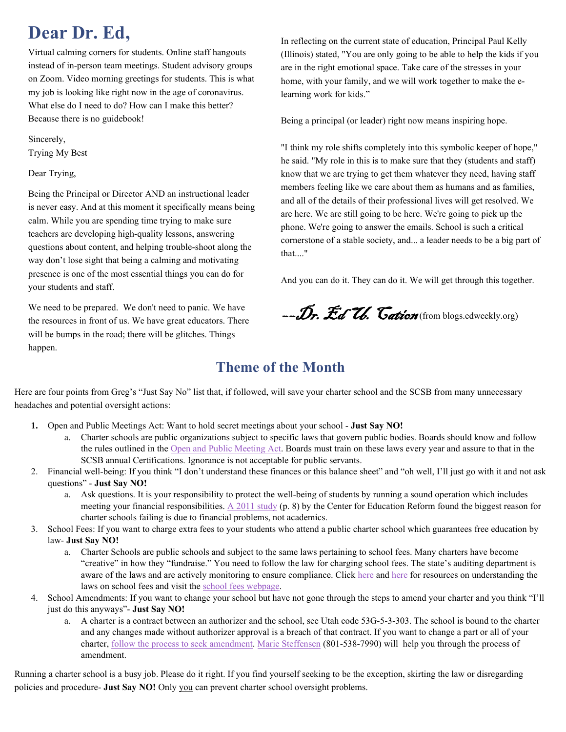## <span id="page-1-0"></span>**Dear Dr. Ed,**

Virtual calming corners for students. Online staff hangouts instead of in-person team meetings. Student advisory groups on Zoom. Video morning greetings for students. This is what my job is looking like right now in the age of coronavirus. What else do I need to do? How can I make this better? Because there is no guidebook!

Sincerely, Trying My Best

Dear Trying,

Being the Principal or Director AND an instructional leader is never easy. And at this moment it specifically means being calm. While you are spending time trying to make sure teachers are developing high-quality lessons, answering questions about content, and helping trouble-shoot along the way don't lose sight that being a calming and motivating presence is one of the most essential things you can do for your students and staff.

We need to be prepared. We don't need to panic. We have the resources in front of us. We have great educators. There will be bumps in the road; there will be glitches. Things happen.

In reflecting on the current state of education, Principal Paul Kelly (Illinois) stated, "You are only going to be able to help the kids if you are in the right emotional space. Take care of the stresses in your home, with your family, and we will work together to make the elearning work for kids."

Being a principal (or leader) right now means inspiring hope.

"I think my role shifts completely into this symbolic keeper of hope," he said. "My role in this is to make sure that they (students and staff) know that we are trying to get them whatever they need, having staff members feeling like we care about them as humans and as families, and all of the details of their professional lives will get resolved. We are here. We are still going to be here. We're going to pick up the phone. We're going to answer the emails. School is such a critical cornerstone of a stable society, and... a leader needs to be a big part of that...."

And you can do it. They can do it. We will get through this together.

--Dr. Ed U. Cation (from blogs.edweekly.org)

#### **Theme of the Month**

Here are four points from Greg's "Just Say No" list that, if followed, will save your charter school and the SCSB from many unnecessary headaches and potential oversight actions:

- **1.** Open and Public Meetings Act: Want to hold secret meetings about your school **Just Say NO!**
	- a. Charter schools are public organizations subject to specific laws that govern public bodies. Boards should know and follow the rules outlined in th[e Open and Public Meeting Act.](https://le.utah.gov/xcode/Title52/Chapter4/52-4.html) Boards must train on these laws every year and assure to that in the SCSB annual Certifications. Ignorance is not acceptable for public servants.
- 2. Financial well-being: If you think "I don't understand these finances or this balance sheet" and "oh well, I'll just go with it and not ask questions" - **Just Say NO!**
	- a. Ask questions. It is your responsibility to protect the well-being of students by running a sound operation which includes meeting your financial responsibilities.  $\triangle 2011$  study (p. 8) by the Center for Education Reform found the biggest reason for charter schools failing is due to financial problems, not academics.
- 3. School Fees: If you want to charge extra fees to your students who attend a public charter school which guarantees free education by law- **Just Say NO!**
	- a. Charter Schools are public schools and subject to the same laws pertaining to school fees. Many charters have become "creative" in how they "fundraise." You need to follow the law for charging school fees. The state's auditing department is aware of the laws and are actively monitoring to ensure compliance. Click [here](https://www.schools.utah.gov/file/8098fa0a-d3e6-4685-babc-0200649ef151) and here for resources on understanding the laws on school fees and visit the school fees webpage.
- 4. School Amendments: If you want to change your school but have not gone through the steps to amend your charter and you think "I'll just do this anyways"- **Just Say NO!**
	- a. A charter is a contract between an authorizer and the school, see Utah code 53G-5-3-303. The school is bound to the charter and any changes made without authorizer approval is a breach of that contract. If you want to change a part or all of your charter, [follow the process to seek amendment.](https://www.utahscsb.org/applications) [Marie Steffensen](mailto:Marie.Steffensen@Schools.Utah.Gov) (801-538-7990) will help you through the process of amendment.

Running a charter school is a busy job. Please do it right. If you find yourself seeking to be the exception, skirting the law or disregarding policies and procedure- **Just Say NO!** Only you can prevent charter school oversight problems.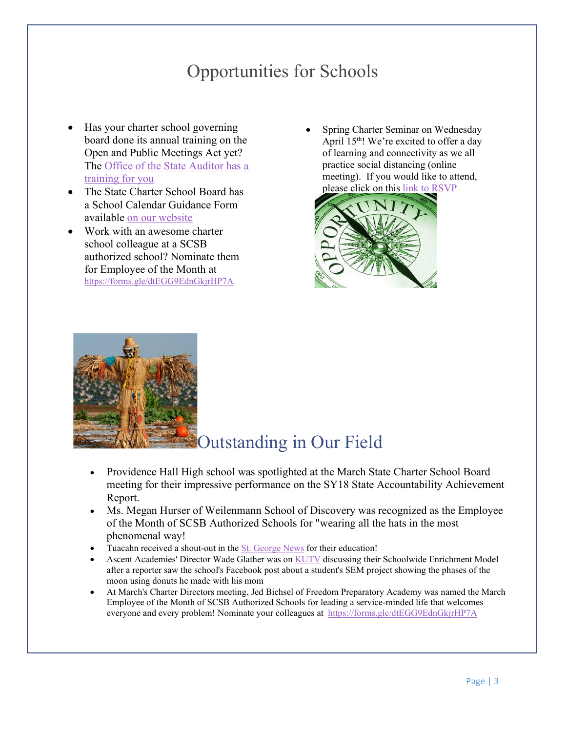## Opportunities for Schools

- <span id="page-2-0"></span>Has your charter school governing board done its annual training on the Open and Public Meetings Act yet? The Office of the State Auditor has a [training for you](http://training.auditor.utah.gov/courses/open-and-public-meetings-act-2019)
- The State Charter School Board has a School Calendar Guidance Form available [on our website](https://www.utahscsb.org/general)
- Work with an awesome charter school colleague at a SCSB authorized school? Nominate them for Employee of the Month at <https://forms.gle/dtEGG9EdnGkjrHP7A>
- Spring Charter Seminar on Wednesday April  $15<sup>th</sup>$ ! We're excited to offer a day of learning and connectivity as we all practice social distancing (online meeting). If you would like to attend, please click on this link to RSVP



<span id="page-2-1"></span>

### Outstanding in Our Field

- Providence Hall High school was spotlighted at the March State Charter School Board meeting for their impressive performance on the SY18 State Accountability Achievement Report.
- Ms. Megan Hurser of Weilenmann School of Discovery was recognized as the Employee of the Month of SCSB Authorized Schools for "wearing all the hats in the most phenomenal way!
- Tuacahn received a shout-out in the [St. George News](https://www.stgeorgeutah.com/news/archive/2020/03/29/asd-were-writing-the-book-as-were-living-it-from-elementary-to-university-educators-pivot-in-unique-situation/#.XoZGmohKhPZ) for their education!
- Ascent Academies' Director Wade Glather was on [KUTV](https://kutv.com/news/local/balancing-working-from-home-with-home-schooling?fbclid=IwAR3_oDaxT95XANxXZJpjjC1oXMUp_Ax3ELdltERQv0S1E8eVDcXPG9fNcQ0) discussing their Schoolwide Enrichment Model after a reporter saw the school's Facebook post about a student's SEM project showing the phases of the moon using donuts he made with his mom
- At March's Charter Directors meeting, Jed Bichsel of Freedom Preparatory Academy was named the March Employee of the Month of SCSB Authorized Schools for leading a service-minded life that welcomes everyone and every problem! Nominate your colleagues at <https://forms.gle/dtEGG9EdnGkjrHP7A>